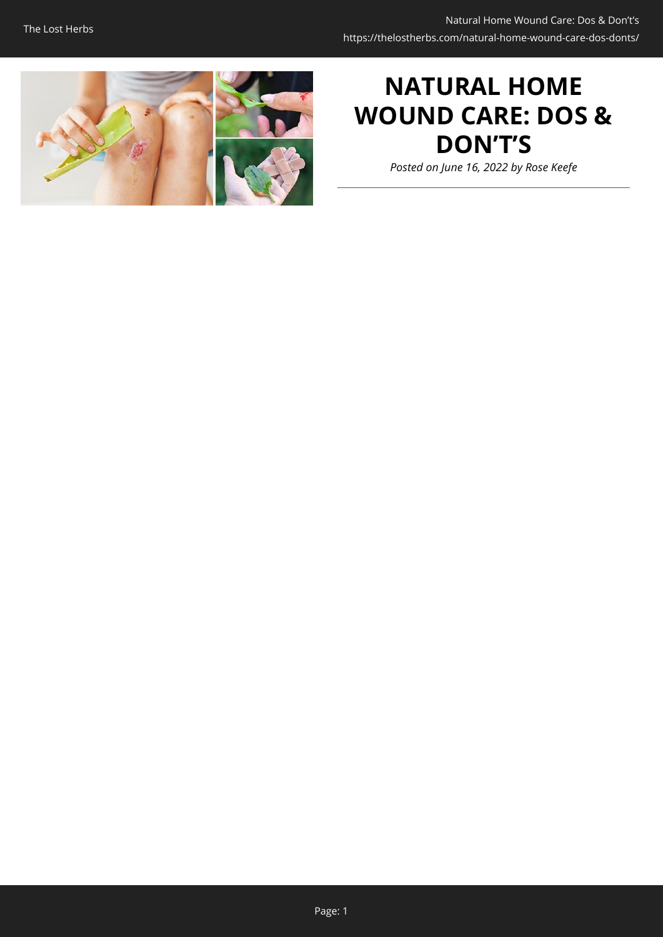

# **NATURAL HOME WOUND CARE: DOS & DON'T'S**

*Posted on June 16, 2022 by Rose Keefe*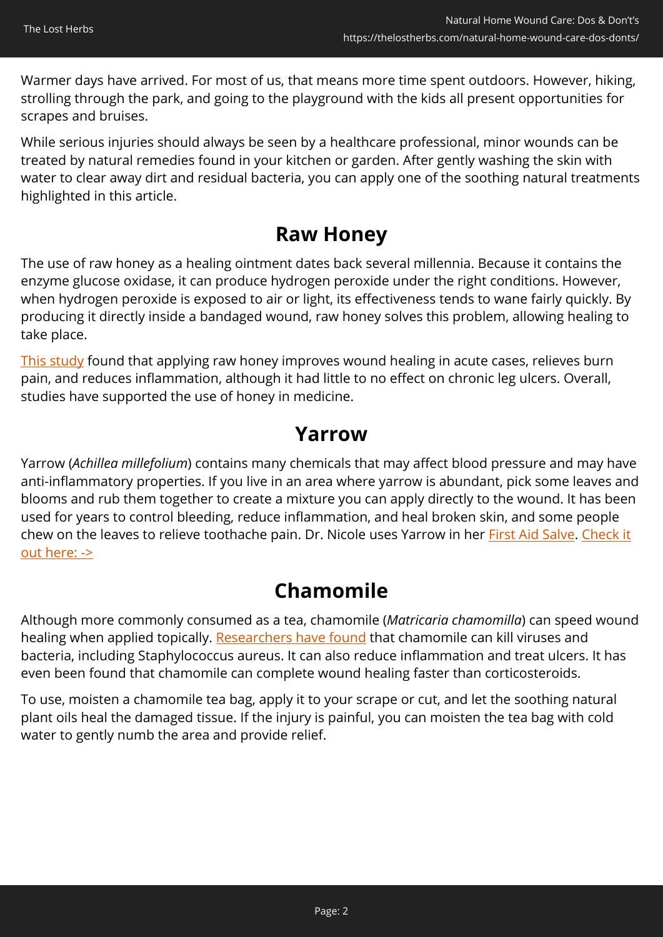Warmer days have arrived. For most of us, that means more time spent outdoors. However, hiking, strolling through the park, and going to the playground with the kids all present opportunities for scrapes and bruises.

While serious injuries should always be seen by a healthcare professional, minor wounds can be treated by natural remedies found in your kitchen or garden. After gently washing the skin with water to clear away dirt and residual bacteria, you can apply one of the soothing natural treatments highlighted in this article.

#### **Raw Honey**

The use of raw honey as a healing ointment dates back several millennia. Because it contains the enzyme glucose oxidase, it can produce hydrogen peroxide under the right conditions. However, when hydrogen peroxide is exposed to air or light, its effectiveness tends to wane fairly quickly. By producing it directly inside a bandaged wound, raw honey solves this problem, allowing healing to take place.

[This study](https://www.ncbi.nlm.nih.gov/pmc/articles/PMC3941901/) found that applying raw honey improves wound healing in acute cases, relieves burn pain, and reduces inflammation, although it had little to no effect on chronic leg ulcers. Overall, studies have supported the use of honey in medicine.

#### **Yarrow**

Yarrow (*Achillea millefolium*) contains many chemicals that may affect blood pressure and may have anti-inflammatory properties. If you live in an area where yarrow is abundant, pick some leaves and blooms and rub them together to create a mixture you can apply directly to the wound. It has been used for years to control bleeding, reduce inflammation, and heal broken skin, and some people chew on the leaves to relieve toothache pain. Dr. Nicole uses Yarrow in her [First Aid Salve](https://nicolesapothecary.com/collections/all/products/all-purpose-salve?rfsn=5642246.05c3d29&utm_source=refersion&utm_medium=affiliate&utm_campaign=5642246.05c3d29&subid=C02WoundCareFAS). [Check it](https://nicolesapothecary.com/collections/all/products/all-purpose-salve?rfsn=5642246.05c3d29&utm_source=refersion&utm_medium=affiliate&utm_campaign=5642246.05c3d29&subid=C02WoundCareFAS) [out here: ->](https://nicolesapothecary.com/collections/all/products/all-purpose-salve?rfsn=5642246.05c3d29&utm_source=refersion&utm_medium=affiliate&utm_campaign=5642246.05c3d29&subid=C02WoundCareFAS)

## **Chamomile**

Although more commonly consumed as a tea, chamomile (*Matricaria chamomilla*) can speed wound healing when applied topically. [Researchers have found](https://www.ncbi.nlm.nih.gov/pmc/articles/PMC2995283/) that chamomile can kill viruses and bacteria, including Staphylococcus aureus. It can also reduce inflammation and treat ulcers. It has even been found that chamomile can complete wound healing faster than corticosteroids.

To use, moisten a chamomile tea bag, apply it to your scrape or cut, and let the soothing natural plant oils heal the damaged tissue. If the injury is painful, you can moisten the tea bag with cold water to gently numb the area and provide relief.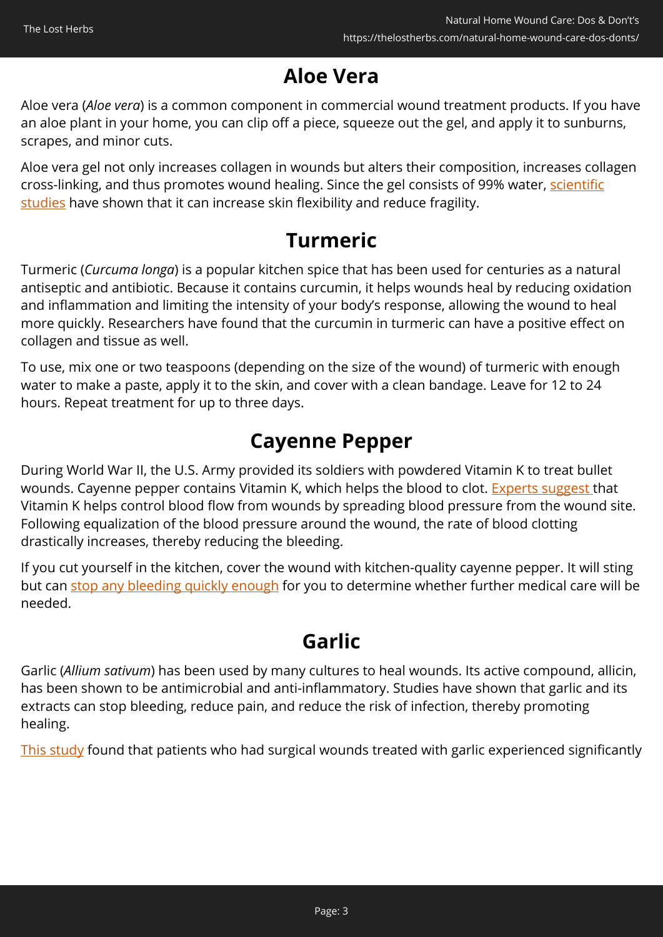## **Aloe Vera**

Aloe vera (*Aloe vera*) is a common component in commercial wound treatment products. If you have an aloe plant in your home, you can clip off a piece, squeeze out the gel, and apply it to sunburns, scrapes, and minor cuts.

Aloe vera gel not only increases collagen in wounds but alters their composition, increases collagen cross-linking, and thus promotes wound healing. Since the gel consists of 99% water, [scientific](https://www.ncbi.nlm.nih.gov/pmc/articles/PMC6330525/) [studies](https://www.ncbi.nlm.nih.gov/pmc/articles/PMC6330525/) have shown that it can increase skin flexibility and reduce fragility.

## **Turmeric**

Turmeric (*Curcuma longa*) is a popular kitchen spice that has been used for centuries as a natural antiseptic and antibiotic. Because it contains curcumin, it helps wounds heal by reducing oxidation and inflammation and limiting the intensity of your body's response, allowing the wound to heal more quickly. Researchers have found that the curcumin in turmeric can have a positive effect on collagen and tissue as well.

To use, mix one or two teaspoons (depending on the size of the wound) of turmeric with enough water to make a paste, apply it to the skin, and cover with a clean bandage. Leave for 12 to 24 hours. Repeat treatment for up to three days.

## **Cayenne Pepper**

During World War II, the U.S. Army provided its soldiers with powdered Vitamin K to treat bullet wounds. Cayenne pepper contains Vitamin K, which helps the blood to clot. [Experts suggest t](https://lifehacker.com/use-cayenne-pepper-to-stop-injuries-from-bleeding-5824693)hat Vitamin K helps control blood flow from wounds by spreading blood pressure from the wound site. Following equalization of the blood pressure around the wound, the rate of blood clotting drastically increases, thereby reducing the bleeding.

If you cut yourself in the kitchen, cover the wound with kitchen-quality cayenne pepper. It will sting but can [stop any bleeding quickly enough](https://www.marconews.com/story/life/2018/09/03/ask-pharmacist-cayenne-stopped-my-bleeding-30-seconds/1145715002/) for you to determine whether further medical care will be needed.

## **Garlic**

Garlic (*Allium sativum*) has been used by many cultures to heal wounds. Its active compound, allicin, has been shown to be antimicrobial and anti-inflammatory. Studies have shown that garlic and its extracts can stop bleeding, reduce pain, and reduce the risk of infection, thereby promoting healing.

[This study](https://journals.lww.com/dermatologicsurgery/Abstract/2020/05000/Effect_of_Topical_Garlic_on_Wound_Healing_and.8.aspx) found that patients who had surgical wounds treated with garlic experienced significantly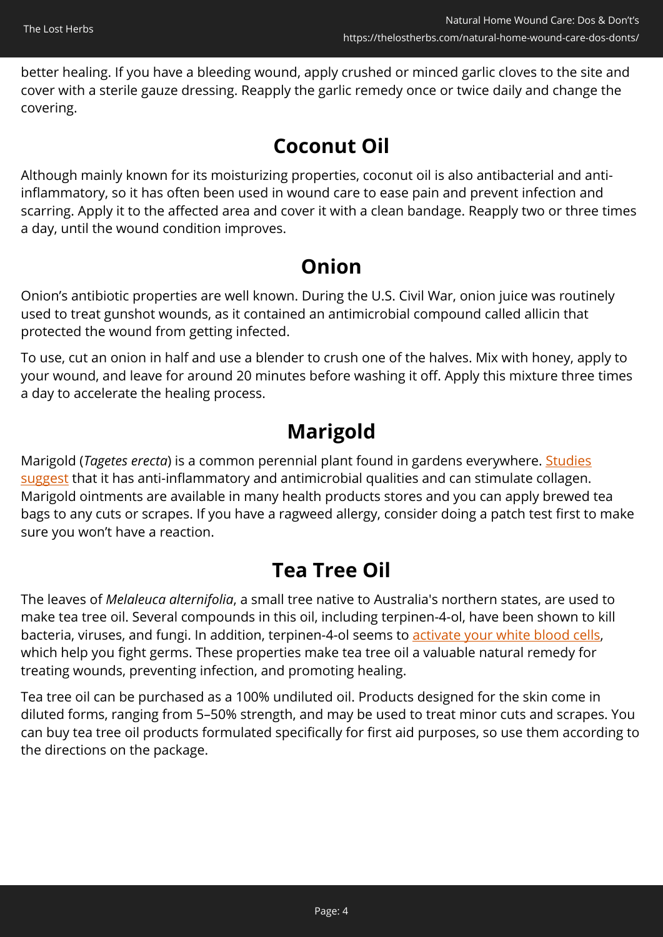better healing. If you have a bleeding wound, apply crushed or minced garlic cloves to the site and cover with a sterile gauze dressing. Reapply the garlic remedy once or twice daily and change the covering.

#### **Coconut Oil**

Although mainly known for its moisturizing properties, coconut oil is also antibacterial and antiinflammatory, so it has often been used in wound care to ease pain and prevent infection and scarring. Apply it to the affected area and cover it with a clean bandage. Reapply two or three times a day, until the wound condition improves.

## **Onion**

Onion's antibiotic properties are well known. During the U.S. Civil War, onion juice was routinely used to treat gunshot wounds, as it contained an antimicrobial compound called allicin that protected the wound from getting infected.

To use, cut an onion in half and use a blender to crush one of the halves. Mix with honey, apply to your wound, and leave for around 20 minutes before washing it off. Apply this mixture three times a day to accelerate the healing process.

## **Marigold**

Marigold (*Tagetes erecta*) is a common perennial plant found in gardens everywhere. [Studies](https://www.ncbi.nlm.nih.gov/pmc/articles/PMC4827280/) [suggest](https://www.ncbi.nlm.nih.gov/pmc/articles/PMC4827280/) that it has anti-inflammatory and antimicrobial qualities and can stimulate collagen. Marigold ointments are available in many health products stores and you can apply brewed tea bags to any cuts or scrapes. If you have a ragweed allergy, consider doing a patch test first to make sure you won't have a reaction.

## **Tea Tree Oil**

The leaves of *Melaleuca alternifolia*, a small tree native to Australia's northern states, are used to make tea tree oil. Several compounds in this oil, including terpinen-4-ol, have been shown to kill bacteria, viruses, and fungi. In addition, terpinen-4-ol seems to [activate your white blood cells](https://www.ncbi.nlm.nih.gov/pubmed/10519561), which help you fight germs. These properties make tea tree oil a valuable natural remedy for treating wounds, preventing infection, and promoting healing.

Tea tree oil can be purchased as a 100% undiluted oil. Products designed for the skin come in diluted forms, ranging from 5–50% strength, and may be used to treat minor cuts and scrapes. You can buy tea tree oil products formulated specifically for first aid purposes, so use them according to the directions on the package.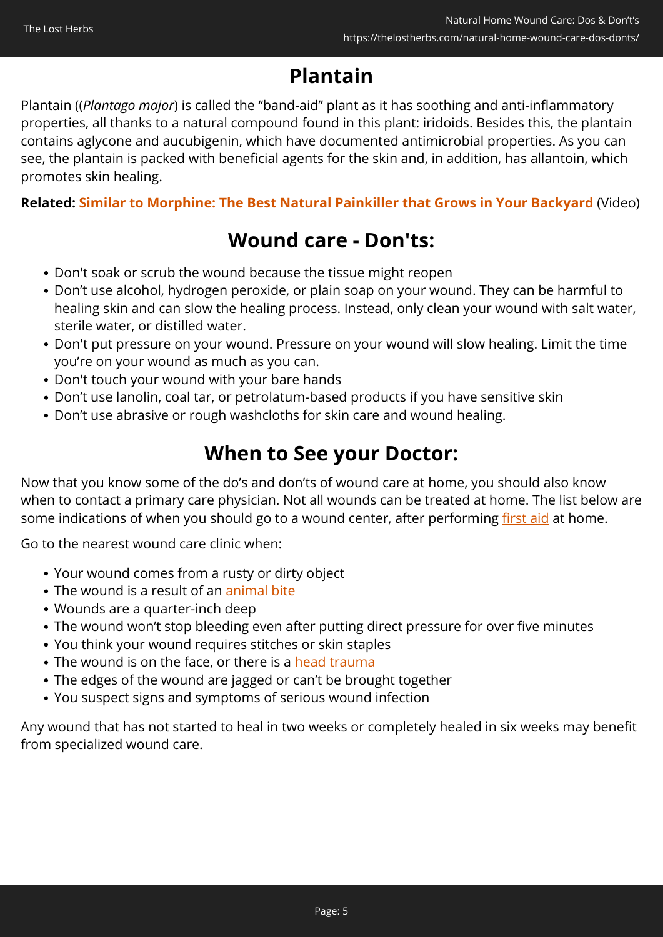## **Plantain**

Plantain ((*Plantago major*) is called the "band-aid" plant as it has soothing and anti-inflammatory properties, all thanks to a natural compound found in this plant: iridoids. Besides this, the plantain contains aglycone and aucubigenin, which have documented antimicrobial properties. As you can see, the plantain is packed with beneficial agents for the skin and, in addition, has allantoin, which promotes skin healing.

**Related: [Similar to Morphine: The Best Natural Painkiller that Grows in Your Backyard](https://hop.clickbank.net/?affiliate=easycellar&vendor=lostways&tid=C02WoundCareTLW)** (Video)

## **Wound care - Don'ts:**

- Don't soak or scrub the wound because the tissue might reopen
- Don't use alcohol, hydrogen peroxide, or plain soap on your wound. They can be harmful to healing skin and can slow the healing process. Instead, only clean your wound with salt water, sterile water, or distilled water.
- Don't put pressure on your wound. Pressure on your wound will slow healing. Limit the time you're on your wound as much as you can.
- Don't touch your wound with your bare hands
- Don't use lanolin, coal tar, or petrolatum-based products if you have sensitive skin
- Don't use abrasive or rough washcloths for skin care and wound healing.

#### **When to See your Doctor:**

Now that you know some of the do's and don'ts of wound care at home, you should also know when to contact a primary care physician. Not all wounds can be treated at home. The list below are some indications of when you should go to a wound center, after performing [first aid](https://www.mayoclinic.org/first-aid) at home.

Go to the nearest wound care clinic when:

- Your wound comes from a rusty or dirty object
- The wound is a result of an [animal bite](https://www.mayoclinic.org/first-aid/first-aid-animal-bites/basics/art-20056591)
- Wounds are a quarter-inch deep
- The wound won't stop bleeding even after putting direct pressure for over five minutes
- You think your wound requires stitches or skin staples
- The wound is on the face, or there is a [head trauma](https://www.mayoclinic.org/first-aid/first-aid-head-trauma/basics/art-20056626)
- The edges of the wound are jagged or can't be brought together
- You suspect signs and symptoms of serious wound infection

Any wound that has not started to heal in two weeks or completely healed in six weeks may benefit from specialized wound care.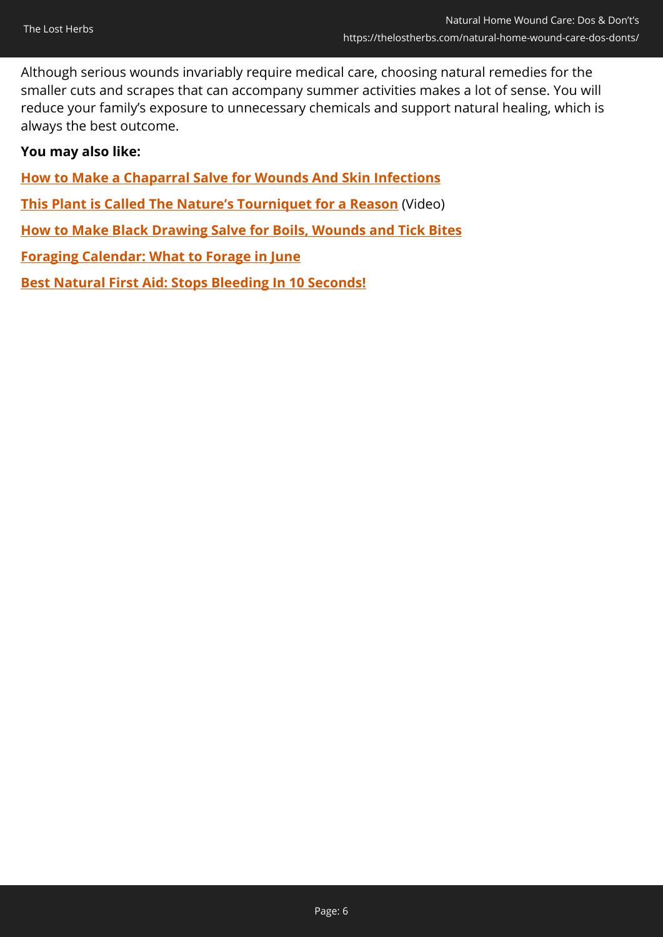Although serious wounds invariably require medical care, choosing natural remedies for the smaller cuts and scrapes that can accompany summer activities makes a lot of sense. You will reduce your family's exposure to unnecessary chemicals and support natural healing, which is always the best outcome.

#### **You may also like:**

**[How to Make a Chaparral Salve for Wounds And Skin Infections](https://thelostherbs.com/how-to-make-a-chaparral-salve-for-wounds-and-skin-infections/)**

- **[This Plant is Called The Nature's Tourniquet for a Reason](https://hop.clickbank.net/?affiliate=easycellar&vendor=bookofren&tid=C02WoundCareMK)** (Video)
- **[How to Make Black Drawing Salve for Boils, Wounds and Tick Bites](https://thelostherbs.com/how-to-make-black-drawing-salve-for-boils-wounds-and-tick-bites/)**
- **[Foraging Calendar: What to Forage in June](https://thelostherbs.com/foraging-calendar-what-to-forage-in-june/)**

**[Best Natural First Aid: Stops Bleeding In 10 Seconds!](https://thelostherbs.com/best-natural-first-aid-stops-bleeding-in-10-seconds/)**